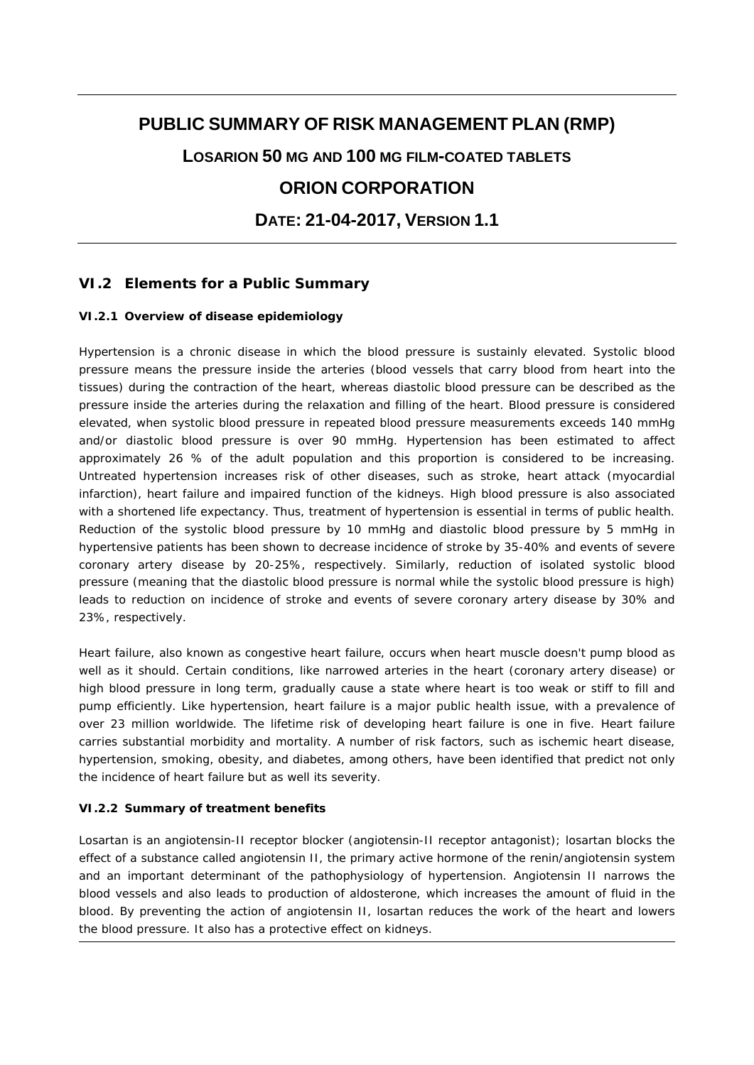# **PUBLIC SUMMARY OF RISK MANAGEMENT PLAN (RMP) LOSARION 50 MG AND 100 MG FILM-COATED TABLETS ORION CORPORATION DATE: 21-04-2017, VERSION 1.1**

# **VI.2 Elements for a Public Summary**

#### *VI.2.1 Overview of disease epidemiology*

Hypertension is a chronic disease in which the blood pressure is sustainly elevated. Systolic blood pressure means the pressure inside the arteries (blood vessels that carry blood from heart into the tissues) during the contraction of the heart, whereas diastolic blood pressure can be described as the pressure inside the arteries during the relaxation and filling of the heart. Blood pressure is considered elevated, when systolic blood pressure in repeated blood pressure measurements exceeds 140 mmHg and/or diastolic blood pressure is over 90 mmHg. Hypertension has been estimated to affect approximately 26 % of the adult population and this proportion is considered to be increasing. Untreated hypertension increases risk of other diseases, such as stroke, heart attack (myocardial infarction), heart failure and impaired function of the kidneys. High blood pressure is also associated with a shortened life expectancy. Thus, treatment of hypertension is essential in terms of public health. Reduction of the systolic blood pressure by 10 mmHg and diastolic blood pressure by 5 mmHg in hypertensive patients has been shown to decrease incidence of stroke by 35-40% and events of severe coronary artery disease by 20-25%, respectively. Similarly, reduction of isolated systolic blood pressure (meaning that the diastolic blood pressure is normal while the systolic blood pressure is high) leads to reduction on incidence of stroke and events of severe coronary artery disease by 30% and 23%, respectively.

Heart failure, also known as congestive heart failure, occurs when heart muscle doesn't pump blood as well as it should. Certain conditions, like narrowed arteries in the heart (coronary artery disease) or high blood pressure in long term, gradually cause a state where heart is too weak or stiff to fill and pump efficiently. Like hypertension, heart failure is a major public health issue, with a prevalence of over 23 million worldwide. The lifetime risk of developing heart failure is one in five. Heart failure carries substantial morbidity and mortality. A number of risk factors, such as ischemic heart disease, hypertension, smoking, obesity, and diabetes, among others, have been identified that predict not only the incidence of heart failure but as well its severity.

#### *VI.2.2 Summary of treatment benefits*

Losartan is an angiotensin-II receptor blocker (angiotensin-II receptor antagonist); losartan blocks the effect of a substance called angiotensin II, the primary active hormone of the renin/angiotensin system and an important determinant of the pathophysiology of hypertension. Angiotensin II narrows the blood vessels and also leads to production of aldosterone, which increases the amount of fluid in the blood. By preventing the action of angiotensin II, losartan reduces the work of the heart and lowers the blood pressure. It also has a protective effect on kidneys.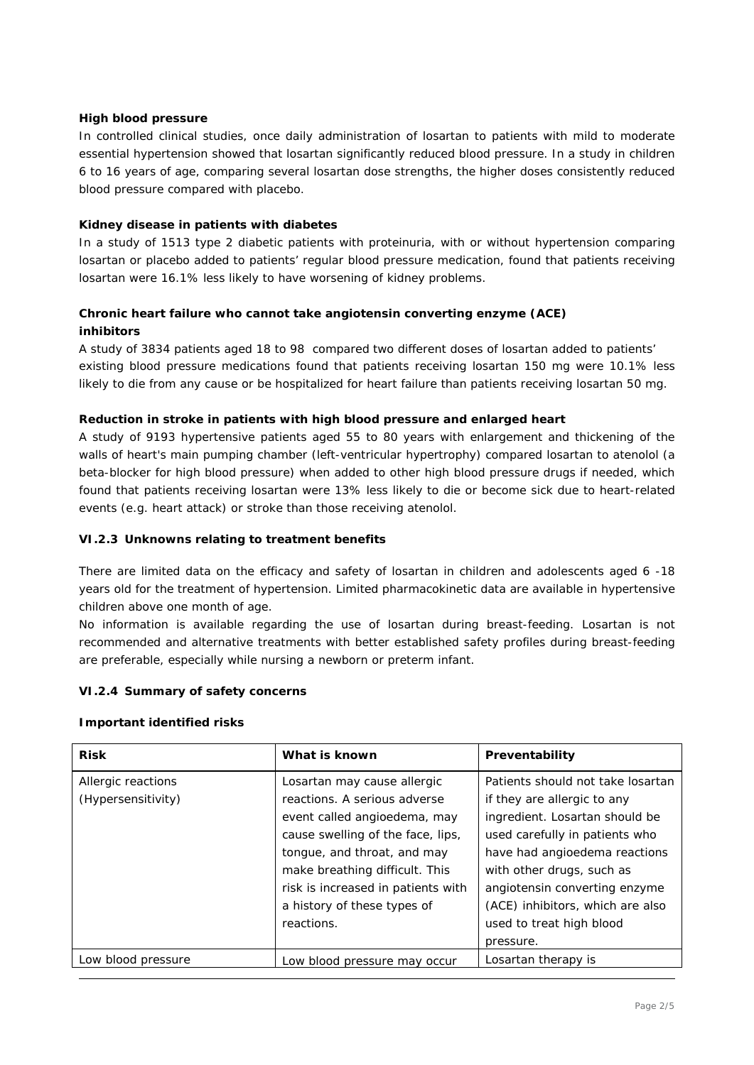#### **High blood pressure**

In controlled clinical studies, once daily administration of losartan to patients with mild to moderate essential hypertension showed that losartan significantly reduced blood pressure. In a study in children 6 to 16 years of age, comparing several losartan dose strengths, the higher doses consistently reduced blood pressure compared with placebo.

#### **Kidney disease in patients with diabetes**

In a study of 1513 type 2 diabetic patients with proteinuria, with or without hypertension comparing losartan or placebo added to patients' regular blood pressure medication, found that patients receiving losartan were 16.1% less likely to have worsening of kidney problems.

## **Chronic heart failure who cannot take angiotensin converting enzyme (ACE) inhibitors**

A study of 3834 patients aged 18 to 98 compared two different doses of losartan added to patients' existing blood pressure medications found that patients receiving losartan 150 mg were 10.1% less likely to die from any cause or be hospitalized for heart failure than patients receiving losartan 50 mg.

#### **Reduction in stroke in patients with high blood pressure and enlarged heart**

A study of 9193 hypertensive patients aged 55 to 80 years with enlargement and thickening of the walls of heart's main pumping chamber (left-ventricular hypertrophy) compared losartan to atenolol (a beta-blocker for high blood pressure) when added to other high blood pressure drugs if needed, which found that patients receiving losartan were 13% less likely to die or become sick due to heart-related events (e.g. heart attack) or stroke than those receiving atenolol.

#### *VI.2.3 Unknowns relating to treatment benefits*

There are limited data on the efficacy and safety of losartan in children and adolescents aged 6 -18 years old for the treatment of hypertension. Limited pharmacokinetic data are available in hypertensive children above one month of age.

No information is available regarding the use of losartan during breast-feeding. Losartan is not recommended and alternative treatments with better established safety profiles during breast-feeding are preferable, especially while nursing a newborn or preterm infant.

#### *VI.2.4 Summary of safety concerns*

#### **Important identified risks**

| <b>Risk</b>        | What is known                      | Preventability                    |
|--------------------|------------------------------------|-----------------------------------|
| Allergic reactions | Losartan may cause allergic        | Patients should not take losartan |
| (Hypersensitivity) | reactions. A serious adverse       | if they are allergic to any       |
|                    | event called angioedema, may       | ingredient. Losartan should be    |
|                    | cause swelling of the face, lips,  | used carefully in patients who    |
|                    | tongue, and throat, and may        | have had angioedema reactions     |
|                    | make breathing difficult. This     | with other drugs, such as         |
|                    | risk is increased in patients with | angiotensin converting enzyme     |
|                    | a history of these types of        | (ACE) inhibitors, which are also  |
|                    | reactions.                         | used to treat high blood          |
|                    |                                    | pressure.                         |
| Low blood pressure | Low blood pressure may occur       | Losartan therapy is               |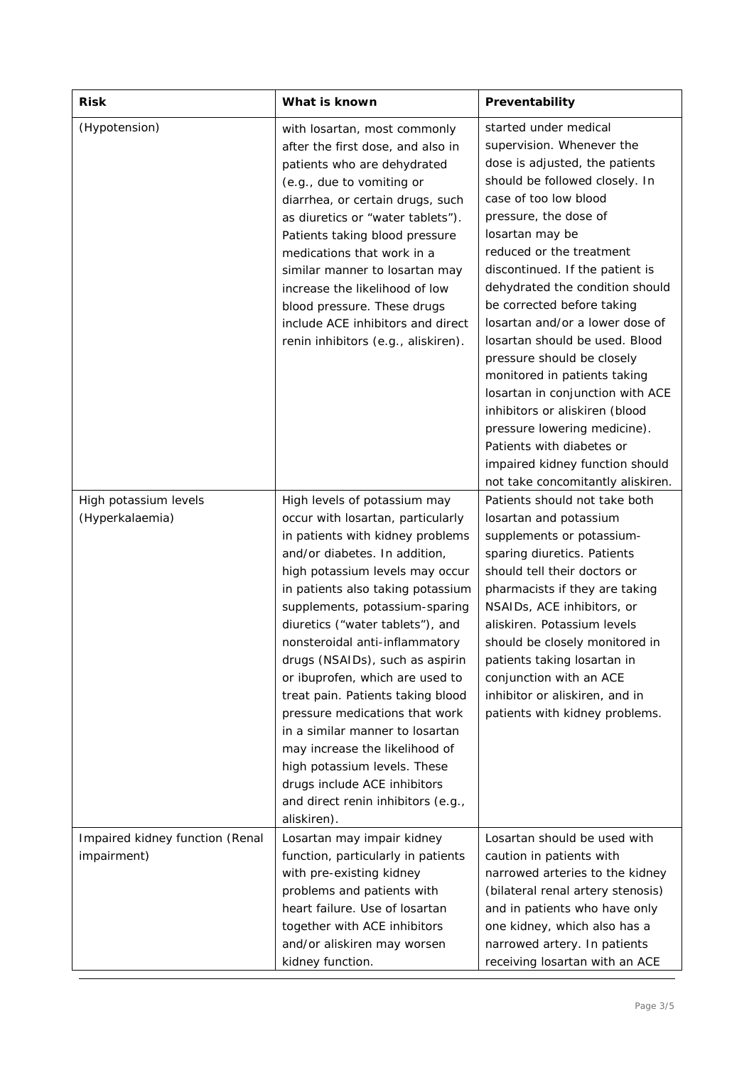| <b>Risk</b>                                    | What is known                                                                                                                                                                                                                                                                                                                                                                                                                                                                                                                                                                                                                                                 | Preventability                                                                                                                                                                                                                                                                                                                                                                                                                                                                                                                                                                                                                                                            |
|------------------------------------------------|---------------------------------------------------------------------------------------------------------------------------------------------------------------------------------------------------------------------------------------------------------------------------------------------------------------------------------------------------------------------------------------------------------------------------------------------------------------------------------------------------------------------------------------------------------------------------------------------------------------------------------------------------------------|---------------------------------------------------------------------------------------------------------------------------------------------------------------------------------------------------------------------------------------------------------------------------------------------------------------------------------------------------------------------------------------------------------------------------------------------------------------------------------------------------------------------------------------------------------------------------------------------------------------------------------------------------------------------------|
| (Hypotension)                                  | with losartan, most commonly<br>after the first dose, and also in<br>patients who are dehydrated<br>(e.g., due to vomiting or<br>diarrhea, or certain drugs, such<br>as diuretics or "water tablets").<br>Patients taking blood pressure<br>medications that work in a<br>similar manner to losartan may<br>increase the likelihood of low<br>blood pressure. These drugs<br>include ACE inhibitors and direct<br>renin inhibitors (e.g., aliskiren).                                                                                                                                                                                                         | started under medical<br>supervision. Whenever the<br>dose is adjusted, the patients<br>should be followed closely. In<br>case of too low blood<br>pressure, the dose of<br>losartan may be<br>reduced or the treatment<br>discontinued. If the patient is<br>dehydrated the condition should<br>be corrected before taking<br>losartan and/or a lower dose of<br>losartan should be used. Blood<br>pressure should be closely<br>monitored in patients taking<br>losartan in conjunction with ACE<br>inhibitors or aliskiren (blood<br>pressure lowering medicine).<br>Patients with diabetes or<br>impaired kidney function should<br>not take concomitantly aliskiren. |
| High potassium levels<br>(Hyperkalaemia)       | High levels of potassium may<br>occur with losartan, particularly<br>in patients with kidney problems<br>and/or diabetes. In addition,<br>high potassium levels may occur<br>in patients also taking potassium<br>supplements, potassium-sparing<br>diuretics ("water tablets"), and<br>nonsteroidal anti-inflammatory<br>drugs (NSAIDs), such as aspirin<br>or ibuprofen, which are used to<br>treat pain. Patients taking blood<br>pressure medications that work<br>in a similar manner to losartan<br>may increase the likelihood of<br>high potassium levels. These<br>drugs include ACE inhibitors<br>and direct renin inhibitors (e.g.,<br>aliskiren). | Patients should not take both<br>losartan and potassium<br>supplements or potassium-<br>sparing diuretics. Patients<br>should tell their doctors or<br>pharmacists if they are taking<br>NSAIDs, ACE inhibitors, or<br>aliskiren. Potassium levels<br>should be closely monitored in<br>patients taking losartan in<br>conjunction with an ACE<br>inhibitor or aliskiren, and in<br>patients with kidney problems.                                                                                                                                                                                                                                                        |
| Impaired kidney function (Renal<br>impairment) | Losartan may impair kidney<br>function, particularly in patients<br>with pre-existing kidney<br>problems and patients with<br>heart failure. Use of losartan<br>together with ACE inhibitors<br>and/or aliskiren may worsen<br>kidney function.                                                                                                                                                                                                                                                                                                                                                                                                               | Losartan should be used with<br>caution in patients with<br>narrowed arteries to the kidney<br>(bilateral renal artery stenosis)<br>and in patients who have only<br>one kidney, which also has a<br>narrowed artery. In patients<br>receiving losartan with an ACE                                                                                                                                                                                                                                                                                                                                                                                                       |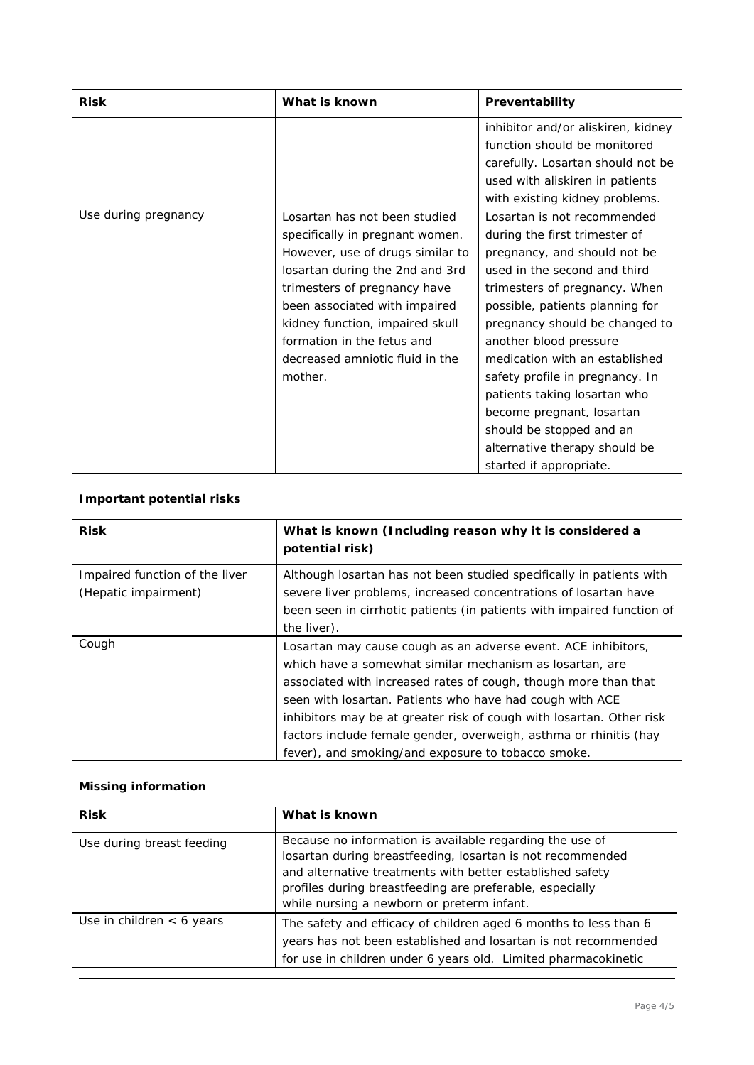| <b>Risk</b>          | What is known                    | Preventability                     |
|----------------------|----------------------------------|------------------------------------|
|                      |                                  | inhibitor and/or aliskiren, kidney |
|                      |                                  | function should be monitored       |
|                      |                                  | carefully. Losartan should not be  |
|                      |                                  | used with aliskiren in patients    |
|                      |                                  | with existing kidney problems.     |
| Use during pregnancy | Losartan has not been studied    | Losartan is not recommended        |
|                      | specifically in pregnant women.  | during the first trimester of      |
|                      | However, use of drugs similar to | pregnancy, and should not be       |
|                      | losartan during the 2nd and 3rd  | used in the second and third       |
|                      | trimesters of pregnancy have     | trimesters of pregnancy. When      |
|                      | been associated with impaired    | possible, patients planning for    |
|                      | kidney function, impaired skull  | pregnancy should be changed to     |
|                      | formation in the fetus and       | another blood pressure             |
|                      | decreased amniotic fluid in the  | medication with an established     |
|                      | mother.                          | safety profile in pregnancy. In    |
|                      |                                  | patients taking losartan who       |
|                      |                                  | become pregnant, losartan          |
|                      |                                  | should be stopped and an           |
|                      |                                  | alternative therapy should be      |
|                      |                                  | started if appropriate.            |

# **Important potential risks**

| <b>Risk</b>                    | What is known (Including reason why it is considered a<br>potential risk) |
|--------------------------------|---------------------------------------------------------------------------|
| Impaired function of the liver | Although losartan has not been studied specifically in patients with      |
| (Hepatic impairment)           | severe liver problems, increased concentrations of losartan have          |
|                                | been seen in cirrhotic patients (in patients with impaired function of    |
|                                | the liver).                                                               |
| Cough                          | Losartan may cause cough as an adverse event. ACE inhibitors,             |
|                                | which have a somewhat similar mechanism as losartan, are                  |
|                                | associated with increased rates of cough, though more than that           |
|                                | seen with losartan. Patients who have had cough with ACE                  |
|                                | inhibitors may be at greater risk of cough with losartan. Other risk      |
|                                | factors include female gender, overweigh, asthma or rhinitis (hay         |
|                                | fever), and smoking/and exposure to tobacco smoke.                        |

# **Missing information**

| <b>Risk</b>                 | What is known                                                                                                                                                                                                                                                                                 |
|-----------------------------|-----------------------------------------------------------------------------------------------------------------------------------------------------------------------------------------------------------------------------------------------------------------------------------------------|
| Use during breast feeding   | Because no information is available regarding the use of<br>losartan during breastfeeding, losartan is not recommended<br>and alternative treatments with better established safety<br>profiles during breastfeeding are preferable, especially<br>while nursing a newborn or preterm infant. |
| Use in children $<$ 6 years | The safety and efficacy of children aged 6 months to less than 6<br>years has not been established and losartan is not recommended<br>for use in children under 6 years old. Limited pharmacokinetic                                                                                          |